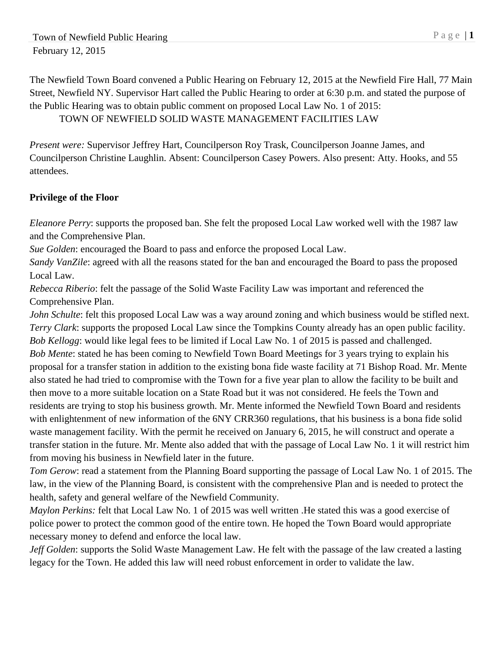The Newfield Town Board convened a Public Hearing on February 12, 2015 at the Newfield Fire Hall, 77 Main Street, Newfield NY. Supervisor Hart called the Public Hearing to order at 6:30 p.m. and stated the purpose of the Public Hearing was to obtain public comment on proposed Local Law No. 1 of 2015: TOWN OF NEWFIELD SOLID WASTE MANAGEMENT FACILITIES LAW

*Present were:* Supervisor Jeffrey Hart, Councilperson Roy Trask, Councilperson Joanne James, and Councilperson Christine Laughlin. Absent: Councilperson Casey Powers. Also present: Atty. Hooks, and 55 attendees.

## **Privilege of the Floor**

*Eleanore Perry*: supports the proposed ban. She felt the proposed Local Law worked well with the 1987 law and the Comprehensive Plan.

*Sue Golden*: encouraged the Board to pass and enforce the proposed Local Law.

*Sandy VanZile*: agreed with all the reasons stated for the ban and encouraged the Board to pass the proposed Local Law.

*Rebecca Riberio*: felt the passage of the Solid Waste Facility Law was important and referenced the Comprehensive Plan.

*John Schulte*: felt this proposed Local Law was a way around zoning and which business would be stifled next. *Terry Clark*: supports the proposed Local Law since the Tompkins County already has an open public facility. *Bob Kellogg*: would like legal fees to be limited if Local Law No. 1 of 2015 is passed and challenged. *Bob Mente*: stated he has been coming to Newfield Town Board Meetings for 3 years trying to explain his proposal for a transfer station in addition to the existing bona fide waste facility at 71 Bishop Road. Mr. Mente also stated he had tried to compromise with the Town for a five year plan to allow the facility to be built and then move to a more suitable location on a State Road but it was not considered. He feels the Town and residents are trying to stop his business growth. Mr. Mente informed the Newfield Town Board and residents with enlightenment of new information of the 6NY CRR360 regulations, that his business is a bona fide solid waste management facility. With the permit he received on January 6, 2015, he will construct and operate a transfer station in the future. Mr. Mente also added that with the passage of Local Law No. 1 it will restrict him from moving his business in Newfield later in the future.

*Tom Gerow*: read a statement from the Planning Board supporting the passage of Local Law No. 1 of 2015. The law, in the view of the Planning Board, is consistent with the comprehensive Plan and is needed to protect the health, safety and general welfare of the Newfield Community.

*Maylon Perkins:* felt that Local Law No. 1 of 2015 was well written .He stated this was a good exercise of police power to protect the common good of the entire town. He hoped the Town Board would appropriate necessary money to defend and enforce the local law.

*Jeff Golden*: supports the Solid Waste Management Law. He felt with the passage of the law created a lasting legacy for the Town. He added this law will need robust enforcement in order to validate the law.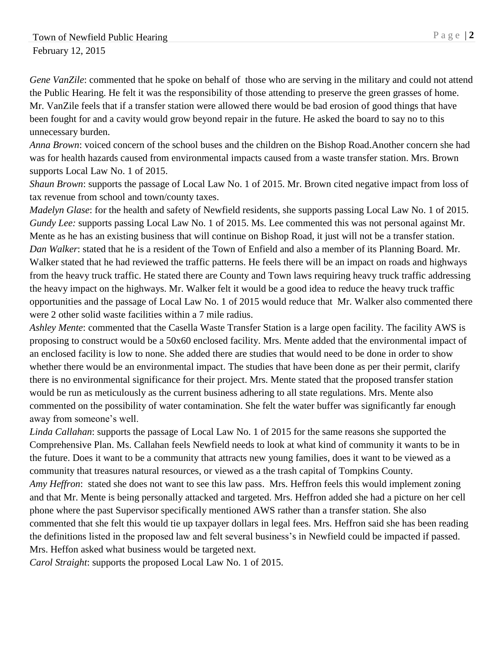*Gene VanZile*: commented that he spoke on behalf of those who are serving in the military and could not attend the Public Hearing. He felt it was the responsibility of those attending to preserve the green grasses of home. Mr. VanZile feels that if a transfer station were allowed there would be bad erosion of good things that have been fought for and a cavity would grow beyond repair in the future. He asked the board to say no to this unnecessary burden.

*Anna Brown*: voiced concern of the school buses and the children on the Bishop Road.Another concern she had was for health hazards caused from environmental impacts caused from a waste transfer station. Mrs. Brown supports Local Law No. 1 of 2015.

*Shaun Brown*: supports the passage of Local Law No. 1 of 2015. Mr. Brown cited negative impact from loss of tax revenue from school and town/county taxes.

*Madelyn Glase*: for the health and safety of Newfield residents, she supports passing Local Law No. 1 of 2015. *Gundy Lee:* supports passing Local Law No. 1 of 2015. Ms. Lee commented this was not personal against Mr. Mente as he has an existing business that will continue on Bishop Road, it just will not be a transfer station. *Dan Walker*: stated that he is a resident of the Town of Enfield and also a member of its Planning Board. Mr. Walker stated that he had reviewed the traffic patterns. He feels there will be an impact on roads and highways from the heavy truck traffic. He stated there are County and Town laws requiring heavy truck traffic addressing the heavy impact on the highways. Mr. Walker felt it would be a good idea to reduce the heavy truck traffic opportunities and the passage of Local Law No. 1 of 2015 would reduce that Mr. Walker also commented there were 2 other solid waste facilities within a 7 mile radius.

*Ashley Mente*: commented that the Casella Waste Transfer Station is a large open facility. The facility AWS is proposing to construct would be a 50x60 enclosed facility. Mrs. Mente added that the environmental impact of an enclosed facility is low to none. She added there are studies that would need to be done in order to show whether there would be an environmental impact. The studies that have been done as per their permit, clarify there is no environmental significance for their project. Mrs. Mente stated that the proposed transfer station would be run as meticulously as the current business adhering to all state regulations. Mrs. Mente also commented on the possibility of water contamination. She felt the water buffer was significantly far enough away from someone's well.

*Linda Callahan*: supports the passage of Local Law No. 1 of 2015 for the same reasons she supported the Comprehensive Plan. Ms. Callahan feels Newfield needs to look at what kind of community it wants to be in the future. Does it want to be a community that attracts new young families, does it want to be viewed as a community that treasures natural resources, or viewed as a the trash capital of Tompkins County. *Amy Heffron*: stated she does not want to see this law pass. Mrs. Heffron feels this would implement zoning and that Mr. Mente is being personally attacked and targeted. Mrs. Heffron added she had a picture on her cell phone where the past Supervisor specifically mentioned AWS rather than a transfer station. She also commented that she felt this would tie up taxpayer dollars in legal fees. Mrs. Heffron said she has been reading the definitions listed in the proposed law and felt several business's in Newfield could be impacted if passed. Mrs. Heffon asked what business would be targeted next.

*Carol Straight*: supports the proposed Local Law No. 1 of 2015.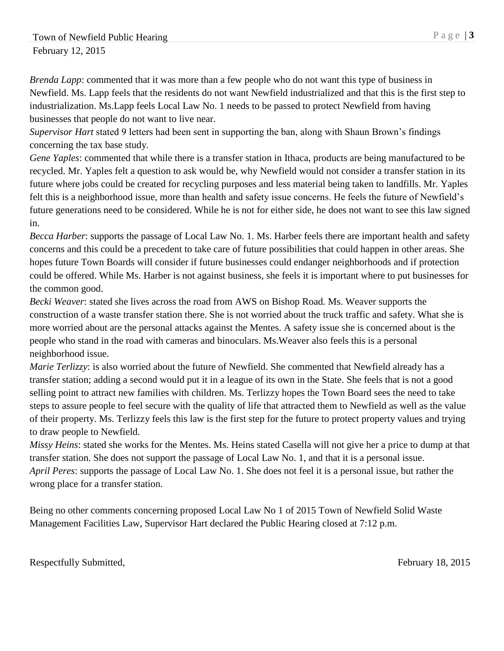*Brenda Lapp*: commented that it was more than a few people who do not want this type of business in Newfield. Ms. Lapp feels that the residents do not want Newfield industrialized and that this is the first step to industrialization. Ms.Lapp feels Local Law No. 1 needs to be passed to protect Newfield from having businesses that people do not want to live near.

*Supervisor Hart* stated 9 letters had been sent in supporting the ban, along with Shaun Brown's findings concerning the tax base study.

*Gene Yaples*: commented that while there is a transfer station in Ithaca, products are being manufactured to be recycled. Mr. Yaples felt a question to ask would be, why Newfield would not consider a transfer station in its future where jobs could be created for recycling purposes and less material being taken to landfills. Mr. Yaples felt this is a neighborhood issue, more than health and safety issue concerns. He feels the future of Newfield's future generations need to be considered. While he is not for either side, he does not want to see this law signed in.

*Becca Harber*: supports the passage of Local Law No. 1. Ms. Harber feels there are important health and safety concerns and this could be a precedent to take care of future possibilities that could happen in other areas. She hopes future Town Boards will consider if future businesses could endanger neighborhoods and if protection could be offered. While Ms. Harber is not against business, she feels it is important where to put businesses for the common good.

*Becki Weaver*: stated she lives across the road from AWS on Bishop Road. Ms. Weaver supports the construction of a waste transfer station there. She is not worried about the truck traffic and safety. What she is more worried about are the personal attacks against the Mentes. A safety issue she is concerned about is the people who stand in the road with cameras and binoculars. Ms.Weaver also feels this is a personal neighborhood issue.

*Marie Terlizzy*: is also worried about the future of Newfield. She commented that Newfield already has a transfer station; adding a second would put it in a league of its own in the State. She feels that is not a good selling point to attract new families with children. Ms. Terlizzy hopes the Town Board sees the need to take steps to assure people to feel secure with the quality of life that attracted them to Newfield as well as the value of their property. Ms. Terlizzy feels this law is the first step for the future to protect property values and trying to draw people to Newfield.

*Missy Heins*: stated she works for the Mentes. Ms. Heins stated Casella will not give her a price to dump at that transfer station. She does not support the passage of Local Law No. 1, and that it is a personal issue. *April Peres*: supports the passage of Local Law No. 1. She does not feel it is a personal issue, but rather the wrong place for a transfer station.

Being no other comments concerning proposed Local Law No 1 of 2015 Town of Newfield Solid Waste Management Facilities Law, Supervisor Hart declared the Public Hearing closed at 7:12 p.m.

Respectfully Submitted, The Exercise of the Exercise of the February 18, 2015